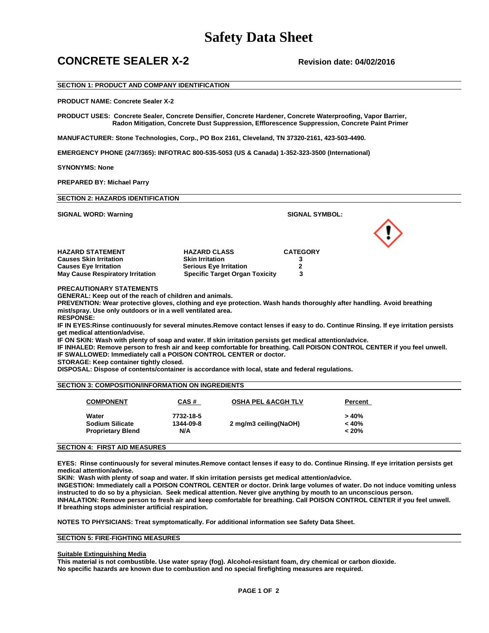## **Safety Data Sheet**

### **CONCRETE SEALER X-2 Revision date: 04/02/2016**

### **SECTION 1: PRODUCT AND COMPANY IDENTIFICATION**

**PRODUCT NAME: Concrete Sealer X-2**

**PRODUCT USES: Concrete Sealer, Concrete Densifier, Concrete Hardener, Concrete Waterproofing, Vapor Barrier, Radon Mitigation, Concrete Dust Suppression, Efflorescence Suppression, Concrete Paint Primer** 

**MANUFACTURER: Stone Technologies, Corp., PO Box 2161, Cleveland, TN 37320-2161, 423-503-4490.** 

**EMERGENCY PHONE (24/7/365): INFOTRAC 800-535-5053 (US & Canada) 1-352-323-3500 (International)**

**SYNONYMS: None**

**PREPARED BY: Michael Parry** 

| <b>SIGNAL WORD: Warning</b>             |                                       | <b>SIGNAL SYMBOL:</b> |  |
|-----------------------------------------|---------------------------------------|-----------------------|--|
|                                         |                                       |                       |  |
| <b>HAZARD STATEMENT</b>                 | <b>HAZARD CLASS</b>                   | <b>CATEGORY</b>       |  |
| <b>Causes Skin Irritation</b>           | <b>Skin Irritation</b>                |                       |  |
| <b>Causes Eye Irritation</b>            | <b>Serious Eye Irritation</b>         |                       |  |
| <b>May Cause Respiratory Irritation</b> | <b>Specific Target Organ Toxicity</b> |                       |  |

**PREVENTION: Wear protective gloves, clothing and eye protection. Wash hands thoroughly after handling. Avoid breathing mist/spray. Use only outdoors or in a well ventilated area.**

**RESPONSE:** 

**IF IN EYES:Rinse continuously for several minutes.Remove contact lenses if easy to do. Continue Rinsing. If eye irritation persists get medical attention/advise.** 

**IF ON SKIN: Wash with plenty of soap and water. If skin irritation persists get medical attention/advice.**

**IF INHALED: Remove person to fresh air and keep comfortable for breathing. Call POISON CONTROL CENTER if you feel unwell.**

**IF SWALLOWED: Immediately call a POISON CONTROL CENTER or doctor.** 

**STORAGE: Keep container tightly closed.**

**DISPOSAL: Dispose of contents/container is accordance with local, state and federal regulations.** 

### **SECTION 3: COMPOSITION/INFORMATION ON INGREDIENTS**

| <b>COMPONENT</b>         | <u>CAS #</u> | <b>OSHA PEL &amp; ACGH TLV</b> | Percent  |
|--------------------------|--------------|--------------------------------|----------|
| Water                    | 7732-18-5    |                                | > 40%    |
| <b>Sodium Silicate</b>   | 1344-09-8    | 2 mg/m3 ceiling(NaOH)          | < 40%    |
| <b>Proprietary Blend</b> | N/A          |                                | $< 20\%$ |

### **SECTION 4: FIRST AID MEASURES**

**EYES: Rinse continuously for several minutes.Remove contact lenses if easy to do. Continue Rinsing. If eye irritation persists get medical attention/advise.**

**SKIN: Wash with plenty of soap and water. If skin irritation persists get medical attention/advice.**

**INGESTION: Immediately call a POISON CONTROL CENTER or doctor. Drink large volumes of water. Do not induce vomiting unless instructed to do so by a physician. Seek medical attention. Never give anything by mouth to an unconscious person. INHALATION: Remove person to fresh air and keep comfortable for breathing. Call POISON CONTROL CENTER if you feel unwell. If breathing stops administer artificial respiration.**

**NOTES TO PHYSICIANS: Treat symptomatically. For additional information see Safety Data Sheet.**

### **SECTION 5: FIRE-FIGHTING MEASURES**

### **Suitable Extinguishing Media**

**This material is not combustible. Use water spray (fog). Alcohol-resistant foam, dry chemical or carbon dioxide. No specific hazards are known due to combustion and no special firefighting measures are required.**